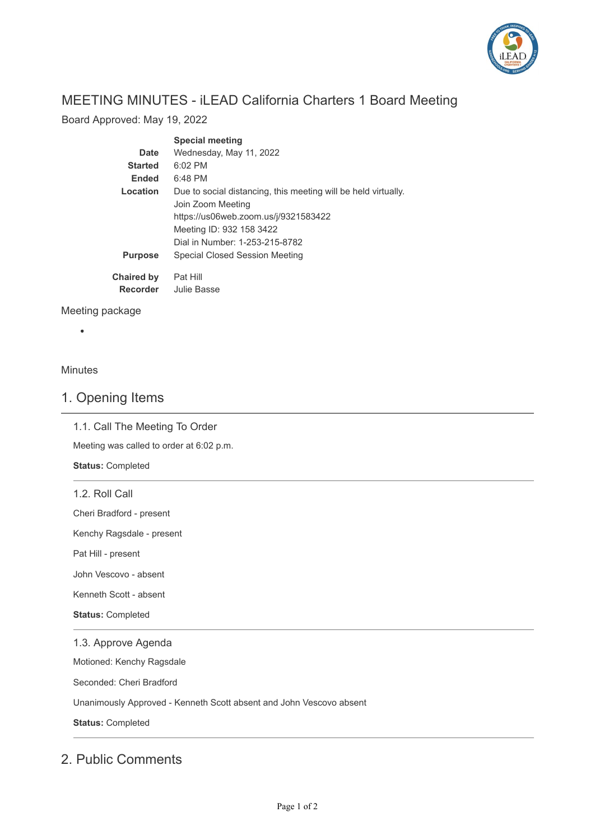

# MEETING MINUTES - iLEAD California Charters 1 Board Meeting

Board Approved: May 19, 2022

|                   | <b>Special meeting</b>                                         |
|-------------------|----------------------------------------------------------------|
| <b>Date</b>       | Wednesday, May 11, 2022                                        |
| <b>Started</b>    | $6:02$ PM                                                      |
| <b>Ended</b>      | 6:48 PM                                                        |
| Location          | Due to social distancing, this meeting will be held virtually. |
|                   | Join Zoom Meeting                                              |
|                   | https://us06web.zoom.us/j/9321583422                           |
|                   | Meeting ID: 932 158 3422                                       |
|                   | Dial in Number: 1-253-215-8782                                 |
| <b>Purpose</b>    | Special Closed Session Meeting                                 |
| <b>Chaired by</b> | Pat Hill                                                       |
| <b>Recorder</b>   | Julie Basse                                                    |

### Meeting package

### Minutes

### 1. Opening Items

1.1. Call The Meeting To Order

Meeting was called to order at 6:02 p.m.

**Status:** Completed

1.2. Roll Call

Cheri Bradford - present

Kenchy Ragsdale - present

Pat Hill - present

John Vescovo - absent

Kenneth Scott - absent

**Status:** Completed

#### 1.3. Approve Agenda

Motioned: Kenchy Ragsdale

Seconded: Cheri Bradford

Unanimously Approved - Kenneth Scott absent and John Vescovo absent

**Status:** Completed

### 2. Public Comments